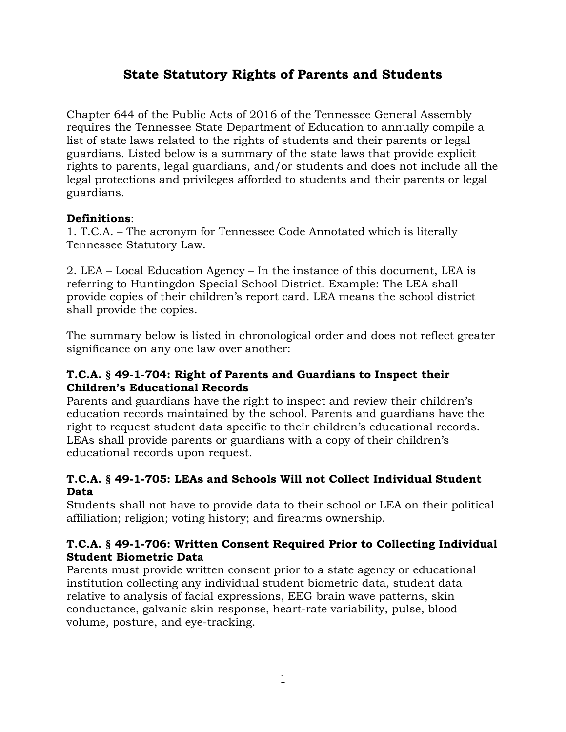# **State Statutory Rights of Parents and Students**

Chapter 644 of the Public Acts of 2016 of the Tennessee General Assembly requires the Tennessee State Department of Education to annually compile a list of state laws related to the rights of students and their parents or legal guardians. Listed below is a summary of the state laws that provide explicit rights to parents, legal guardians, and/or students and does not include all the legal protections and privileges afforded to students and their parents or legal guardians.

### **Definitions**:

1. T.C.A. – The acronym for Tennessee Code Annotated which is literally Tennessee Statutory Law.

2. LEA – Local Education Agency – In the instance of this document, LEA is referring to Huntingdon Special School District. Example: The LEA shall provide copies of their children's report card. LEA means the school district shall provide the copies.

The summary below is listed in chronological order and does not reflect greater significance on any one law over another:

### **T.C.A. § 49-1-704: Right of Parents and Guardians to Inspect their Children's Educational Records**

Parents and guardians have the right to inspect and review their children's education records maintained by the school. Parents and guardians have the right to request student data specific to their children's educational records. LEAs shall provide parents or guardians with a copy of their children's educational records upon request.

### **T.C.A. § 49-1-705: LEAs and Schools Will not Collect Individual Student Data**

Students shall not have to provide data to their school or LEA on their political affiliation; religion; voting history; and firearms ownership.

### **T.C.A. § 49-1-706: Written Consent Required Prior to Collecting Individual Student Biometric Data**

Parents must provide written consent prior to a state agency or educational institution collecting any individual student biometric data, student data relative to analysis of facial expressions, EEG brain wave patterns, skin conductance, galvanic skin response, heart-rate variability, pulse, blood volume, posture, and eye-tracking.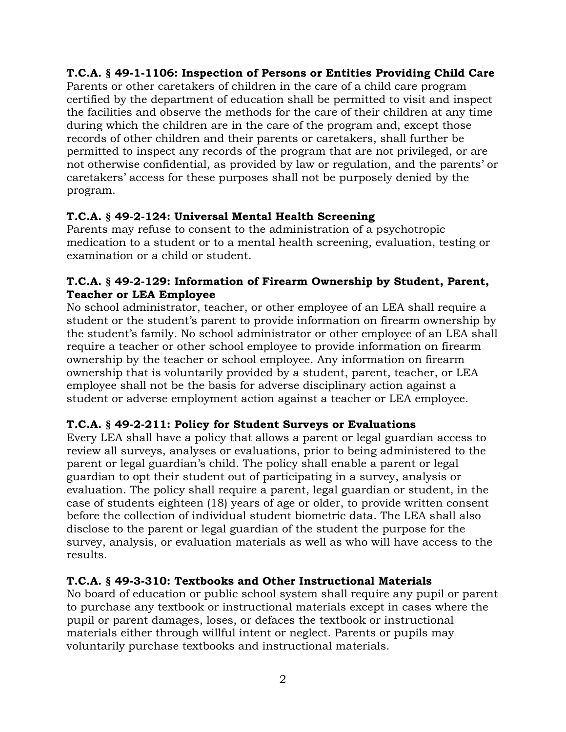### **T.C.A. § 49-1-1106: Inspection of Persons or Entities Providing Child Care**

Parents or other caretakers of children in the care of a child care program certified by the department of education shall be permitted to visit and inspect the facilities and observe the methods for the care of their children at any time during which the children are in the care of the program and, except those records of other children and their parents or caretakers, shall further be permitted to inspect any records of the program that are not privileged, or are not otherwise confidential, as provided by law or regulation, and the parents' or caretakers' access for these purposes shall not be purposely denied by the program.

### **T.C.A. § 49-2-124: Universal Mental Health Screening**

Parents may refuse to consent to the administration of a psychotropic medication to a student or to a mental health screening, evaluation, testing or examination or a child or student.

#### **T.C.A. § 49-2-129: Information of Firearm Ownership by Student, Parent, Teacher or LEA Employee**

No school administrator, teacher, or other employee of an LEA shall require a student or the student's parent to provide information on firearm ownership by the student's family. No school administrator or other employee of an LEA shall require a teacher or other school employee to provide information on firearm ownership by the teacher or school employee. Any information on firearm ownership that is voluntarily provided by a student, parent, teacher, or LEA employee shall not be the basis for adverse disciplinary action against a student or adverse employment action against a teacher or LEA employee.

### **T.C.A. § 49-2-211: Policy for Student Surveys or Evaluations**

Every LEA shall have a policy that allows a parent or legal guardian access to review all surveys, analyses or evaluations, prior to being administered to the parent or legal guardian's child. The policy shall enable a parent or legal guardian to opt their student out of participating in a survey, analysis or evaluation. The policy shall require a parent, legal guardian or student, in the case of students eighteen (18) years of age or older, to provide written consent before the collection of individual student biometric data. The LEA shall also disclose to the parent or legal guardian of the student the purpose for the survey, analysis, or evaluation materials as well as who will have access to the results.

#### **T.C.A. § 49-3-310: Textbooks and Other Instructional Materials**

No board of education or public school system shall require any pupil or parent to purchase any textbook or instructional materials except in cases where the pupil or parent damages, loses, or defaces the textbook or instructional materials either through willful intent or neglect. Parents or pupils may voluntarily purchase textbooks and instructional materials.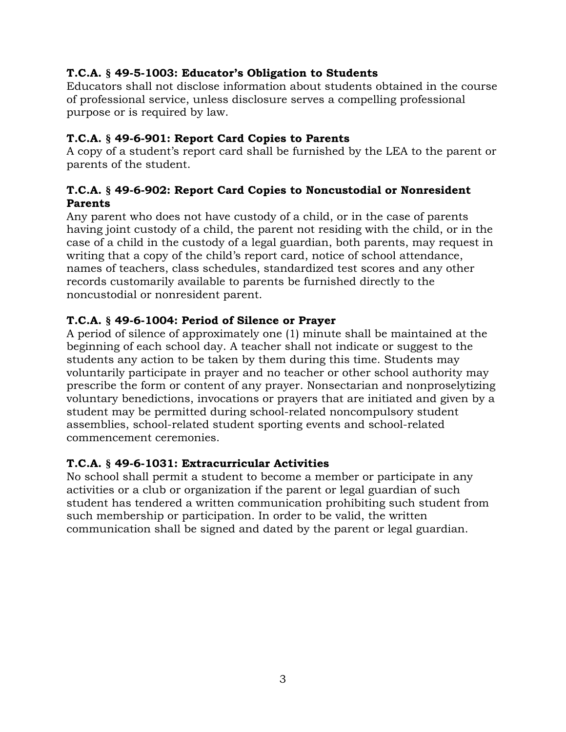### **T.C.A. § 49-5-1003: Educator's Obligation to Students**

Educators shall not disclose information about students obtained in the course of professional service, unless disclosure serves a compelling professional purpose or is required by law.

# **T.C.A. § 49-6-901: Report Card Copies to Parents**

A copy of a student's report card shall be furnished by the LEA to the parent or parents of the student.

### **T.C.A. § 49-6-902: Report Card Copies to Noncustodial or Nonresident Parents**

Any parent who does not have custody of a child, or in the case of parents having joint custody of a child, the parent not residing with the child, or in the case of a child in the custody of a legal guardian, both parents, may request in writing that a copy of the child's report card, notice of school attendance, names of teachers, class schedules, standardized test scores and any other records customarily available to parents be furnished directly to the noncustodial or nonresident parent.

# **T.C.A. § 49-6-1004: Period of Silence or Prayer**

A period of silence of approximately one (1) minute shall be maintained at the beginning of each school day. A teacher shall not indicate or suggest to the students any action to be taken by them during this time. Students may voluntarily participate in prayer and no teacher or other school authority may prescribe the form or content of any prayer. Nonsectarian and nonproselytizing voluntary benedictions, invocations or prayers that are initiated and given by a student may be permitted during school-related noncompulsory student assemblies, school-related student sporting events and school-related commencement ceremonies.

# **T.C.A. § 49-6-1031: Extracurricular Activities**

No school shall permit a student to become a member or participate in any activities or a club or organization if the parent or legal guardian of such student has tendered a written communication prohibiting such student from such membership or participation. In order to be valid, the written communication shall be signed and dated by the parent or legal guardian.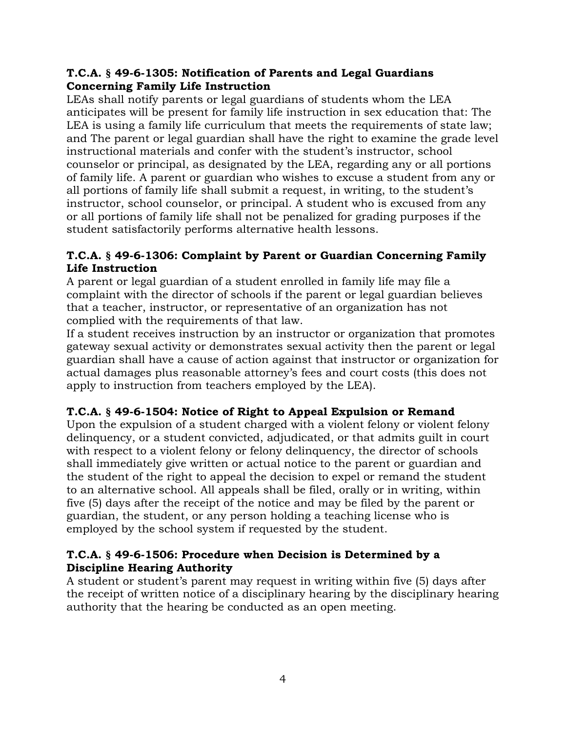### **T.C.A. § 49-6-1305: Notification of Parents and Legal Guardians Concerning Family Life Instruction**

LEAs shall notify parents or legal guardians of students whom the LEA anticipates will be present for family life instruction in sex education that: The LEA is using a family life curriculum that meets the requirements of state law; and The parent or legal guardian shall have the right to examine the grade level instructional materials and confer with the student's instructor, school counselor or principal, as designated by the LEA, regarding any or all portions of family life. A parent or guardian who wishes to excuse a student from any or all portions of family life shall submit a request, in writing, to the student's instructor, school counselor, or principal. A student who is excused from any or all portions of family life shall not be penalized for grading purposes if the student satisfactorily performs alternative health lessons.

### **T.C.A. § 49-6-1306: Complaint by Parent or Guardian Concerning Family Life Instruction**

A parent or legal guardian of a student enrolled in family life may file a complaint with the director of schools if the parent or legal guardian believes that a teacher, instructor, or representative of an organization has not complied with the requirements of that law.

If a student receives instruction by an instructor or organization that promotes gateway sexual activity or demonstrates sexual activity then the parent or legal guardian shall have a cause of action against that instructor or organization for actual damages plus reasonable attorney's fees and court costs (this does not apply to instruction from teachers employed by the LEA).

# **T.C.A. § 49-6-1504: Notice of Right to Appeal Expulsion or Remand**

Upon the expulsion of a student charged with a violent felony or violent felony delinquency, or a student convicted, adjudicated, or that admits guilt in court with respect to a violent felony or felony delinquency, the director of schools shall immediately give written or actual notice to the parent or guardian and the student of the right to appeal the decision to expel or remand the student to an alternative school. All appeals shall be filed, orally or in writing, within five (5) days after the receipt of the notice and may be filed by the parent or guardian, the student, or any person holding a teaching license who is employed by the school system if requested by the student.

# **T.C.A. § 49-6-1506: Procedure when Decision is Determined by a Discipline Hearing Authority**

A student or student's parent may request in writing within five (5) days after the receipt of written notice of a disciplinary hearing by the disciplinary hearing authority that the hearing be conducted as an open meeting.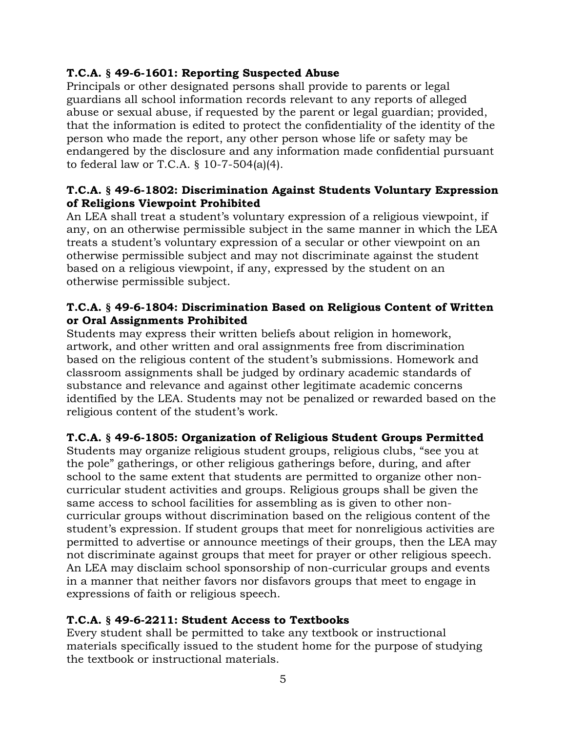### **T.C.A. § 49-6-1601: Reporting Suspected Abuse**

Principals or other designated persons shall provide to parents or legal guardians all school information records relevant to any reports of alleged abuse or sexual abuse, if requested by the parent or legal guardian; provided, that the information is edited to protect the confidentiality of the identity of the person who made the report, any other person whose life or safety may be endangered by the disclosure and any information made confidential pursuant to federal law or T.C.A. § 10-7-504(a)(4).

### **T.C.A. § 49-6-1802: Discrimination Against Students Voluntary Expression of Religions Viewpoint Prohibited**

An LEA shall treat a student's voluntary expression of a religious viewpoint, if any, on an otherwise permissible subject in the same manner in which the LEA treats a student's voluntary expression of a secular or other viewpoint on an otherwise permissible subject and may not discriminate against the student based on a religious viewpoint, if any, expressed by the student on an otherwise permissible subject.

### **T.C.A. § 49-6-1804: Discrimination Based on Religious Content of Written or Oral Assignments Prohibited**

Students may express their written beliefs about religion in homework, artwork, and other written and oral assignments free from discrimination based on the religious content of the student's submissions. Homework and classroom assignments shall be judged by ordinary academic standards of substance and relevance and against other legitimate academic concerns identified by the LEA. Students may not be penalized or rewarded based on the religious content of the student's work.

# **T.C.A. § 49-6-1805: Organization of Religious Student Groups Permitted**

Students may organize religious student groups, religious clubs, "see you at the pole" gatherings, or other religious gatherings before, during, and after school to the same extent that students are permitted to organize other noncurricular student activities and groups. Religious groups shall be given the same access to school facilities for assembling as is given to other noncurricular groups without discrimination based on the religious content of the student's expression. If student groups that meet for nonreligious activities are permitted to advertise or announce meetings of their groups, then the LEA may not discriminate against groups that meet for prayer or other religious speech. An LEA may disclaim school sponsorship of non-curricular groups and events in a manner that neither favors nor disfavors groups that meet to engage in expressions of faith or religious speech.

### **T.C.A. § 49-6-2211: Student Access to Textbooks**

Every student shall be permitted to take any textbook or instructional materials specifically issued to the student home for the purpose of studying the textbook or instructional materials.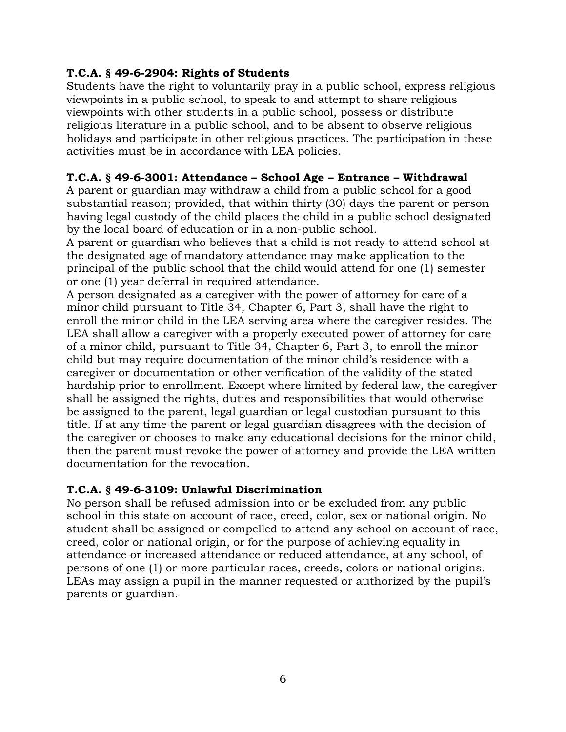### **T.C.A. § 49-6-2904: Rights of Students**

Students have the right to voluntarily pray in a public school, express religious viewpoints in a public school, to speak to and attempt to share religious viewpoints with other students in a public school, possess or distribute religious literature in a public school, and to be absent to observe religious holidays and participate in other religious practices. The participation in these activities must be in accordance with LEA policies.

### **T.C.A. § 49-6-3001: Attendance – School Age – Entrance – Withdrawal**

A parent or guardian may withdraw a child from a public school for a good substantial reason; provided, that within thirty (30) days the parent or person having legal custody of the child places the child in a public school designated by the local board of education or in a non-public school.

A parent or guardian who believes that a child is not ready to attend school at the designated age of mandatory attendance may make application to the principal of the public school that the child would attend for one (1) semester or one (1) year deferral in required attendance.

A person designated as a caregiver with the power of attorney for care of a minor child pursuant to Title 34, Chapter 6, Part 3, shall have the right to enroll the minor child in the LEA serving area where the caregiver resides. The LEA shall allow a caregiver with a properly executed power of attorney for care of a minor child, pursuant to Title 34, Chapter 6, Part 3, to enroll the minor child but may require documentation of the minor child's residence with a caregiver or documentation or other verification of the validity of the stated hardship prior to enrollment. Except where limited by federal law, the caregiver shall be assigned the rights, duties and responsibilities that would otherwise be assigned to the parent, legal guardian or legal custodian pursuant to this title. If at any time the parent or legal guardian disagrees with the decision of the caregiver or chooses to make any educational decisions for the minor child, then the parent must revoke the power of attorney and provide the LEA written documentation for the revocation.

#### **T.C.A. § 49-6-3109: Unlawful Discrimination**

No person shall be refused admission into or be excluded from any public school in this state on account of race, creed, color, sex or national origin. No student shall be assigned or compelled to attend any school on account of race, creed, color or national origin, or for the purpose of achieving equality in attendance or increased attendance or reduced attendance, at any school, of persons of one (1) or more particular races, creeds, colors or national origins. LEAs may assign a pupil in the manner requested or authorized by the pupil's parents or guardian.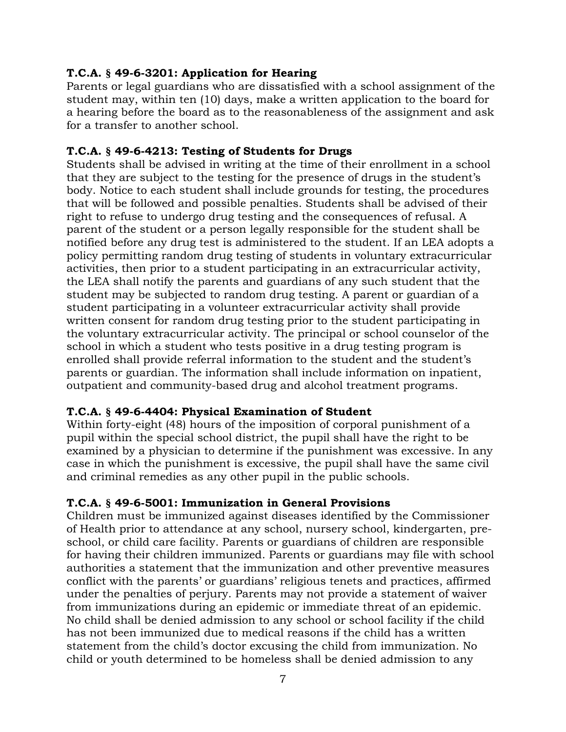### **T.C.A. § 49-6-3201: Application for Hearing**

Parents or legal guardians who are dissatisfied with a school assignment of the student may, within ten (10) days, make a written application to the board for a hearing before the board as to the reasonableness of the assignment and ask for a transfer to another school.

### **T.C.A. § 49-6-4213: Testing of Students for Drugs**

Students shall be advised in writing at the time of their enrollment in a school that they are subject to the testing for the presence of drugs in the student's body. Notice to each student shall include grounds for testing, the procedures that will be followed and possible penalties. Students shall be advised of their right to refuse to undergo drug testing and the consequences of refusal. A parent of the student or a person legally responsible for the student shall be notified before any drug test is administered to the student. If an LEA adopts a policy permitting random drug testing of students in voluntary extracurricular activities, then prior to a student participating in an extracurricular activity, the LEA shall notify the parents and guardians of any such student that the student may be subjected to random drug testing. A parent or guardian of a student participating in a volunteer extracurricular activity shall provide written consent for random drug testing prior to the student participating in the voluntary extracurricular activity. The principal or school counselor of the school in which a student who tests positive in a drug testing program is enrolled shall provide referral information to the student and the student's parents or guardian. The information shall include information on inpatient, outpatient and community-based drug and alcohol treatment programs.

### **T.C.A. § 49-6-4404: Physical Examination of Student**

Within forty-eight (48) hours of the imposition of corporal punishment of a pupil within the special school district, the pupil shall have the right to be examined by a physician to determine if the punishment was excessive. In any case in which the punishment is excessive, the pupil shall have the same civil and criminal remedies as any other pupil in the public schools.

### **T.C.A. § 49-6-5001: Immunization in General Provisions**

Children must be immunized against diseases identified by the Commissioner of Health prior to attendance at any school, nursery school, kindergarten, preschool, or child care facility. Parents or guardians of children are responsible for having their children immunized. Parents or guardians may file with school authorities a statement that the immunization and other preventive measures conflict with the parents' or guardians' religious tenets and practices, affirmed under the penalties of perjury. Parents may not provide a statement of waiver from immunizations during an epidemic or immediate threat of an epidemic. No child shall be denied admission to any school or school facility if the child has not been immunized due to medical reasons if the child has a written statement from the child's doctor excusing the child from immunization. No child or youth determined to be homeless shall be denied admission to any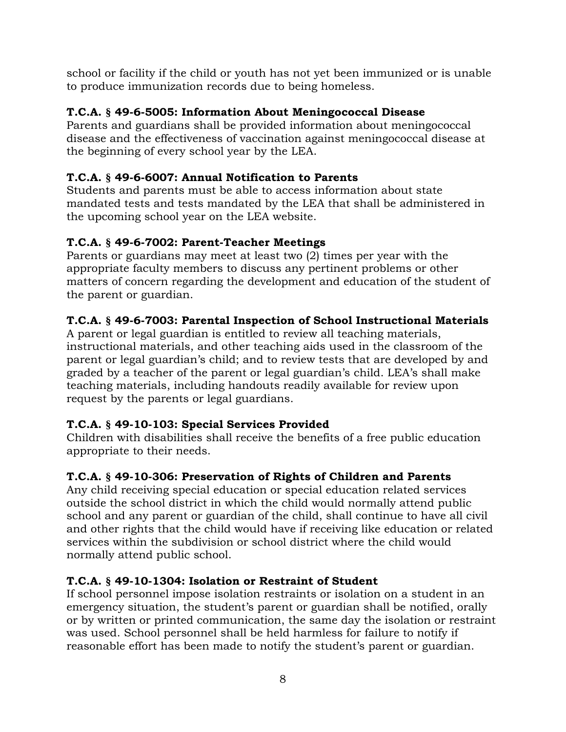school or facility if the child or youth has not yet been immunized or is unable to produce immunization records due to being homeless.

# **T.C.A. § 49-6-5005: Information About Meningococcal Disease**

Parents and guardians shall be provided information about meningococcal disease and the effectiveness of vaccination against meningococcal disease at the beginning of every school year by the LEA.

# **T.C.A. § 49-6-6007: Annual Notification to Parents**

Students and parents must be able to access information about state mandated tests and tests mandated by the LEA that shall be administered in the upcoming school year on the LEA website.

# **T.C.A. § 49-6-7002: Parent-Teacher Meetings**

Parents or guardians may meet at least two (2) times per year with the appropriate faculty members to discuss any pertinent problems or other matters of concern regarding the development and education of the student of the parent or guardian.

# **T.C.A. § 49-6-7003: Parental Inspection of School Instructional Materials**

A parent or legal guardian is entitled to review all teaching materials, instructional materials, and other teaching aids used in the classroom of the parent or legal guardian's child; and to review tests that are developed by and graded by a teacher of the parent or legal guardian's child. LEA's shall make teaching materials, including handouts readily available for review upon request by the parents or legal guardians.

### **T.C.A. § 49-10-103: Special Services Provided**

Children with disabilities shall receive the benefits of a free public education appropriate to their needs.

# **T.C.A. § 49-10-306: Preservation of Rights of Children and Parents**

Any child receiving special education or special education related services outside the school district in which the child would normally attend public school and any parent or guardian of the child, shall continue to have all civil and other rights that the child would have if receiving like education or related services within the subdivision or school district where the child would normally attend public school.

# **T.C.A. § 49-10-1304: Isolation or Restraint of Student**

If school personnel impose isolation restraints or isolation on a student in an emergency situation, the student's parent or guardian shall be notified, orally or by written or printed communication, the same day the isolation or restraint was used. School personnel shall be held harmless for failure to notify if reasonable effort has been made to notify the student's parent or guardian.